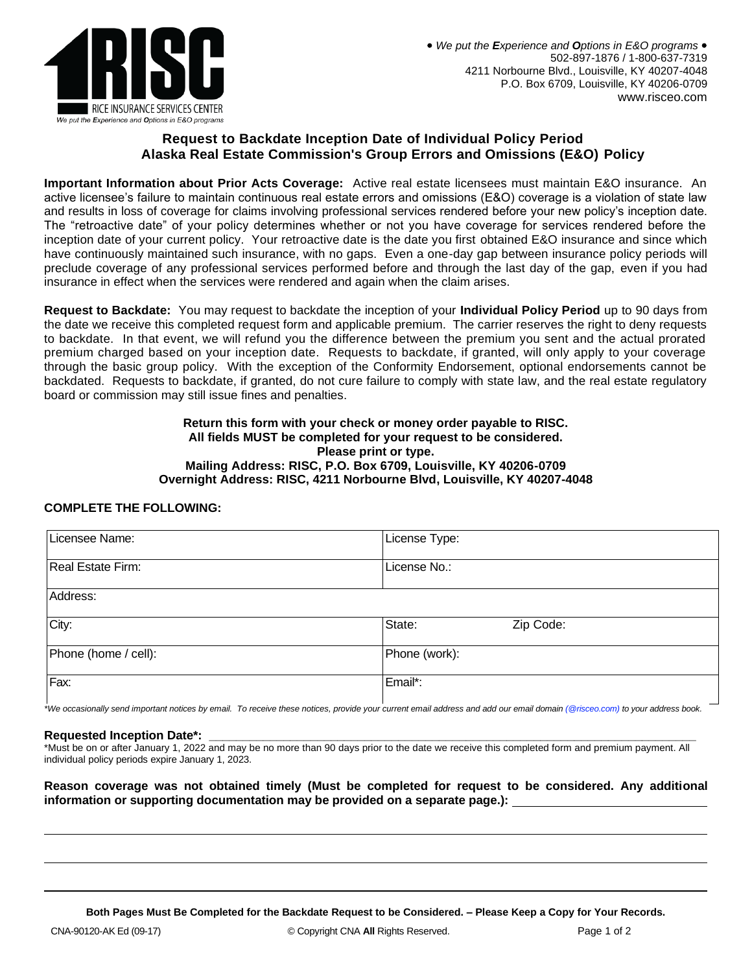

# **Request to Backdate Inception Date of Individual Policy Period Alaska Real Estate Commission's Group Errors and Omissions (E&O) Policy**

**Important Information about Prior Acts Coverage:** Active real estate licensees must maintain E&O insurance. An active licensee's failure to maintain continuous real estate errors and omissions (E&O) coverage is a violation of state law and results in loss of coverage for claims involving professional services rendered before your new policy's inception date. The "retroactive date" of your policy determines whether or not you have coverage for services rendered before the inception date of your current policy. Your retroactive date is the date you first obtained E&O insurance and since which have continuously maintained such insurance, with no gaps. Even a one-day gap between insurance policy periods will preclude coverage of any professional services performed before and through the last day of the gap, even if you had insurance in effect when the services were rendered and again when the claim arises.

**Request to Backdate:** You may request to backdate the inception of your **Individual Policy Period** up to 90 days from the date we receive this completed request form and applicable premium. The carrier reserves the right to deny requests to backdate. In that event, we will refund you the difference between the premium you sent and the actual prorated premium charged based on your inception date. Requests to backdate, if granted, will only apply to your coverage through the basic group policy. With the exception of the Conformity Endorsement, optional endorsements cannot be backdated. Requests to backdate, if granted, do not cure failure to comply with state law, and the real estate regulatory board or commission may still issue fines and penalties.

#### **Return this form with your check or money order payable to RISC. All fields MUST be completed for your request to be considered. Please print or type. Mailing Address: RISC, P.O. Box 6709, Louisville, KY 40206-0709 Overnight Address: RISC, 4211 Norbourne Blvd, Louisville, KY 40207-4048**

## **COMPLETE THE FOLLOWING:**

| Licensee Name:       | License Type:       |
|----------------------|---------------------|
|                      |                     |
|                      |                     |
| Real Estate Firm:    | License No.:        |
|                      |                     |
| Address:             |                     |
|                      |                     |
| City:                | State:<br>Zip Code: |
|                      |                     |
|                      |                     |
| Phone (home / cell): | Phone (work):       |
|                      |                     |
|                      |                     |
| Fax:                 | Email*:             |
|                      |                     |
|                      |                     |

*\*We occasionally send important notices by email. To receive these notices, provide your current email address and add our email domain (@risceo.com) to your address book.*

## **Requested Inception Date\*:**

\*Must be on or after January 1, 2022 and may be no more than 90 days prior to the date we receive this completed form and premium payment. All individual policy periods expire January 1, 2023.

#### **Reason coverage was not obtained timely (Must be completed for request to be considered. Any additional information or supporting documentation may be provided on a separate page.):**